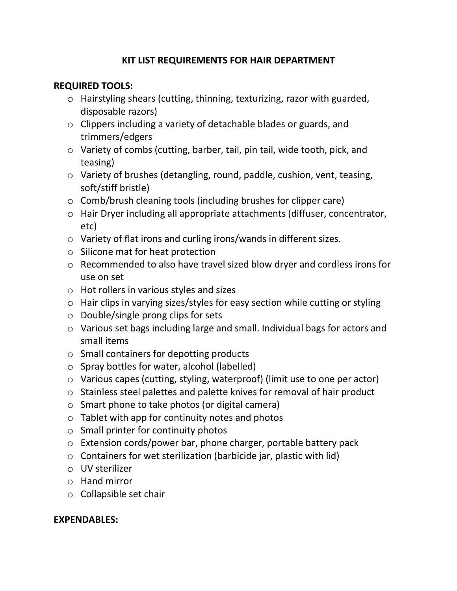### **KIT LIST REQUIREMENTS FOR HAIR DEPARTMENT**

### **REQUIRED TOOLS:**

- o Hairstyling shears (cutting, thinning, texturizing, razor with guarded, disposable razors)
- o Clippers including a variety of detachable blades or guards, and trimmers/edgers
- o Variety of combs (cutting, barber, tail, pin tail, wide tooth, pick, and teasing)
- o Variety of brushes (detangling, round, paddle, cushion, vent, teasing, soft/stiff bristle)
- o Comb/brush cleaning tools (including brushes for clipper care)
- o Hair Dryer including all appropriate attachments (diffuser, concentrator, etc)
- o Variety of flat irons and curling irons/wands in different sizes.
- o Silicone mat for heat protection
- o Recommended to also have travel sized blow dryer and cordless irons for use on set
- o Hot rollers in various styles and sizes
- o Hair clips in varying sizes/styles for easy section while cutting or styling
- o Double/single prong clips for sets
- o Various set bags including large and small. Individual bags for actors and small items
- o Small containers for depotting products
- o Spray bottles for water, alcohol (labelled)
- o Various capes (cutting, styling, waterproof) (limit use to one per actor)
- o Stainless steel palettes and palette knives for removal of hair product
- o Smart phone to take photos (or digital camera)
- $\circ$  Tablet with app for continuity notes and photos
- $\circ$  Small printer for continuity photos
- o Extension cords/power bar, phone charger, portable battery pack
- $\circ$  Containers for wet sterilization (barbicide jar, plastic with lid)
- o UV sterilizer
- o Hand mirror
- o Collapsible set chair

### **EXPENDABLES:**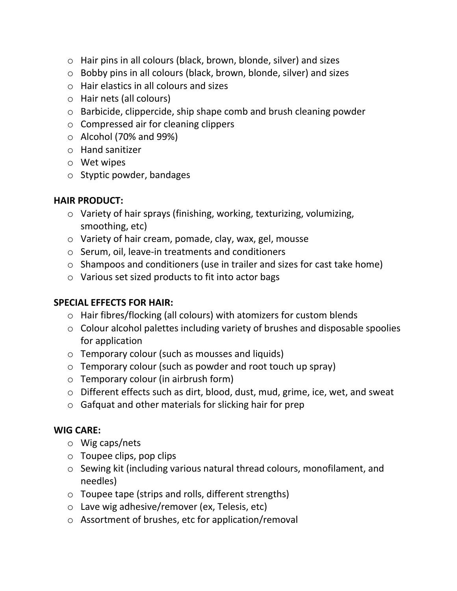- o Hair pins in all colours (black, brown, blonde, silver) and sizes
- o Bobby pins in all colours (black, brown, blonde, silver) and sizes
- o Hair elastics in all colours and sizes
- o Hair nets (all colours)
- o Barbicide, clippercide, ship shape comb and brush cleaning powder
- o Compressed air for cleaning clippers
- $\circ$  Alcohol (70% and 99%)
- o Hand sanitizer
- o Wet wipes
- o Styptic powder, bandages

## **HAIR PRODUCT:**

- o Variety of hair sprays (finishing, working, texturizing, volumizing, smoothing, etc)
- o Variety of hair cream, pomade, clay, wax, gel, mousse
- o Serum, oil, leave-in treatments and conditioners
- o Shampoos and conditioners (use in trailer and sizes for cast take home)
- o Various set sized products to fit into actor bags

# **SPECIAL EFFECTS FOR HAIR:**

- o Hair fibres/flocking (all colours) with atomizers for custom blends
- o Colour alcohol palettes including variety of brushes and disposable spoolies for application
- o Temporary colour (such as mousses and liquids)
- o Temporary colour (such as powder and root touch up spray)
- o Temporary colour (in airbrush form)
- o Different effects such as dirt, blood, dust, mud, grime, ice, wet, and sweat
- o Gafquat and other materials for slicking hair for prep

# **WIG CARE:**

- o Wig caps/nets
- o Toupee clips, pop clips
- o Sewing kit (including various natural thread colours, monofilament, and needles)
- o Toupee tape (strips and rolls, different strengths)
- o Lave wig adhesive/remover (ex, Telesis, etc)
- o Assortment of brushes, etc for application/removal